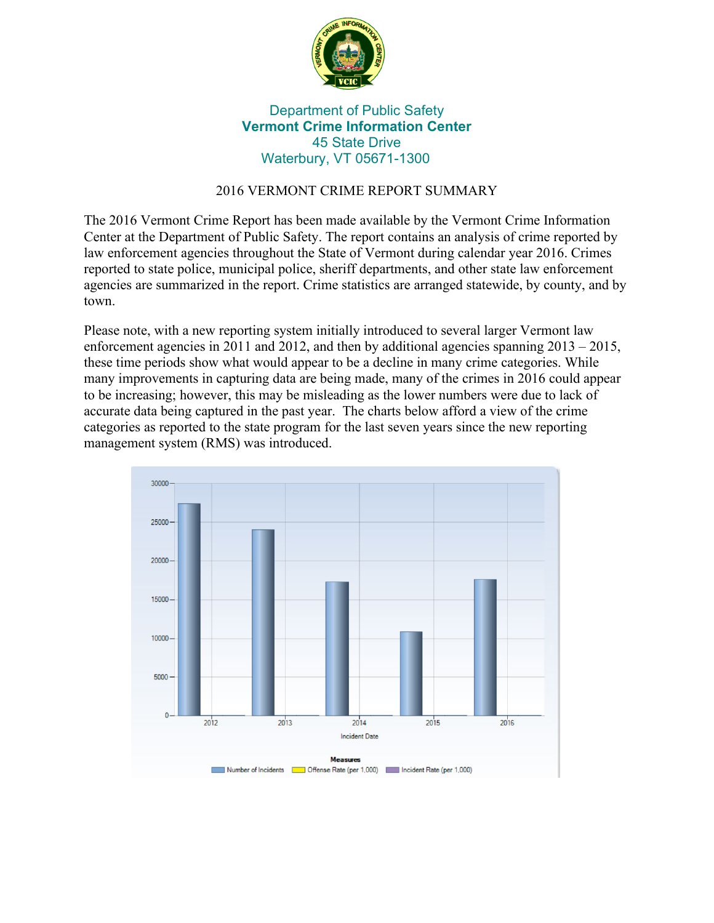

## Department of Public Safety **Vermont Crime Information Center** 45 State Drive Waterbury, VT 05671-1300

## 2016 VERMONT CRIME REPORT SUMMARY

The 2016 Vermont Crime Report has been made available by the Vermont Crime Information Center at the Department of Public Safety. The report contains an analysis of crime reported by law enforcement agencies throughout the State of Vermont during calendar year 2016. Crimes reported to state police, municipal police, sheriff departments, and other state law enforcement agencies are summarized in the report. Crime statistics are arranged statewide, by county, and by town.

Please note, with a new reporting system initially introduced to several larger Vermont law enforcement agencies in 2011 and 2012, and then by additional agencies spanning  $2013 - 2015$ , these time periods show what would appear to be a decline in many crime categories. While many improvements in capturing data are being made, many of the crimes in 2016 could appear to be increasing; however, this may be misleading as the lower numbers were due to lack of accurate data being captured in the past year. The charts below afford a view of the crime categories as reported to the state program for the last seven years since the new reporting management system (RMS) was introduced.

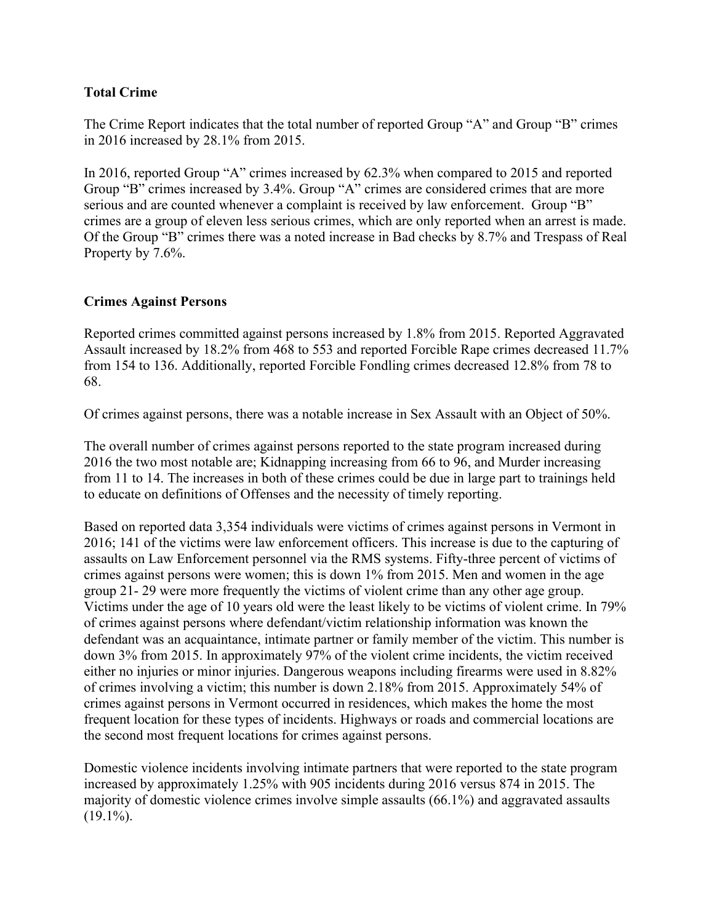#### **Total Crime**

The Crime Report indicates that the total number of reported Group "A" and Group "B" crimes in 2016 increased by 28.1% from 2015.

In 2016, reported Group "A" crimes increased by 62.3% when compared to 2015 and reported Group "B" crimes increased by 3.4%. Group "A" crimes are considered crimes that are more serious and are counted whenever a complaint is received by law enforcement. Group "B" crimes are a group of eleven less serious crimes, which are only reported when an arrest is made. Of the Group "B" crimes there was a noted increase in Bad checks by 8.7% and Trespass of Real Property by 7.6%.

#### **Crimes Against Persons**

Reported crimes committed against persons increased by 1.8% from 2015. Reported Aggravated Assault increased by 18.2% from 468 to 553 and reported Forcible Rape crimes decreased 11.7% from 154 to 136. Additionally, reported Forcible Fondling crimes decreased 12.8% from 78 to 68.

Of crimes against persons, there was a notable increase in Sex Assault with an Object of 50%.

The overall number of crimes against persons reported to the state program increased during 2016 the two most notable are; Kidnapping increasing from 66 to 96, and Murder increasing from 11 to 14. The increases in both of these crimes could be due in large part to trainings held to educate on definitions of Offenses and the necessity of timely reporting.

Based on reported data 3,354 individuals were victims of crimes against persons in Vermont in 2016; 141 of the victims were law enforcement officers. This increase is due to the capturing of assaults on Law Enforcement personnel via the RMS systems. Fifty-three percent of victims of crimes against persons were women; this is down 1% from 2015. Men and women in the age group 21- 29 were more frequently the victims of violent crime than any other age group. Victims under the age of 10 years old were the least likely to be victims of violent crime. In 79% of crimes against persons where defendant/victim relationship information was known the defendant was an acquaintance, intimate partner or family member of the victim. This number is down 3% from 2015. In approximately 97% of the violent crime incidents, the victim received either no injuries or minor injuries. Dangerous weapons including firearms were used in 8.82% of crimes involving a victim; this number is down 2.18% from 2015. Approximately 54% of crimes against persons in Vermont occurred in residences, which makes the home the most frequent location for these types of incidents. Highways or roads and commercial locations are the second most frequent locations for crimes against persons.

Domestic violence incidents involving intimate partners that were reported to the state program increased by approximately 1.25% with 905 incidents during 2016 versus 874 in 2015. The majority of domestic violence crimes involve simple assaults (66.1%) and aggravated assaults  $(19.1\%)$ .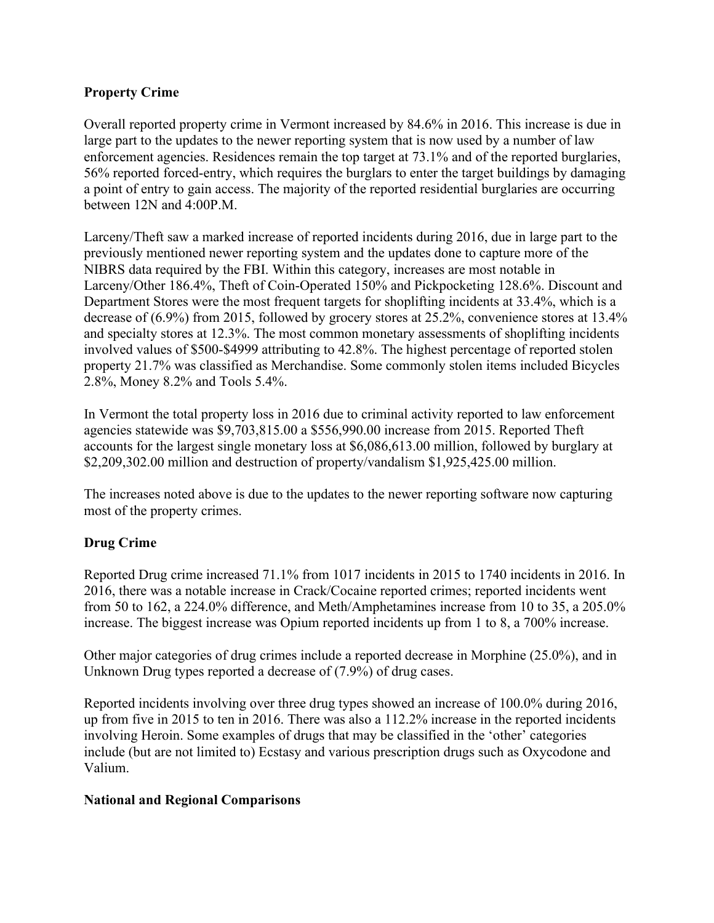## **Property Crime**

Overall reported property crime in Vermont increased by 84.6% in 2016. This increase is due in large part to the updates to the newer reporting system that is now used by a number of law enforcement agencies. Residences remain the top target at 73.1% and of the reported burglaries, 56% reported forced-entry, which requires the burglars to enter the target buildings by damaging a point of entry to gain access. The majority of the reported residential burglaries are occurring between 12N and 4:00P.M.

Larceny/Theft saw a marked increase of reported incidents during 2016, due in large part to the previously mentioned newer reporting system and the updates done to capture more of the NIBRS data required by the FBI. Within this category, increases are most notable in Larceny/Other 186.4%, Theft of Coin-Operated 150% and Pickpocketing 128.6%. Discount and Department Stores were the most frequent targets for shoplifting incidents at 33.4%, which is a decrease of (6.9%) from 2015, followed by grocery stores at 25.2%, convenience stores at 13.4% and specialty stores at 12.3%. The most common monetary assessments of shoplifting incidents involved values of \$500-\$4999 attributing to 42.8%. The highest percentage of reported stolen property 21.7% was classified as Merchandise. Some commonly stolen items included Bicycles 2.8%, Money 8.2% and Tools 5.4%.

In Vermont the total property loss in 2016 due to criminal activity reported to law enforcement agencies statewide was \$9,703,815.00 a \$556,990.00 increase from 2015. Reported Theft accounts for the largest single monetary loss at \$6,086,613.00 million, followed by burglary at \$2,209,302.00 million and destruction of property/vandalism \$1,925,425.00 million.

The increases noted above is due to the updates to the newer reporting software now capturing most of the property crimes.

# **Drug Crime**

Reported Drug crime increased 71.1% from 1017 incidents in 2015 to 1740 incidents in 2016. In 2016, there was a notable increase in Crack/Cocaine reported crimes; reported incidents went from 50 to 162, a 224.0% difference, and Meth/Amphetamines increase from 10 to 35, a 205.0% increase. The biggest increase was Opium reported incidents up from 1 to 8, a 700% increase.

Other major categories of drug crimes include a reported decrease in Morphine (25.0%), and in Unknown Drug types reported a decrease of (7.9%) of drug cases.

Reported incidents involving over three drug types showed an increase of 100.0% during 2016, up from five in 2015 to ten in 2016. There was also a 112.2% increase in the reported incidents involving Heroin. Some examples of drugs that may be classified in the 'other' categories include (but are not limited to) Ecstasy and various prescription drugs such as Oxycodone and Valium.

## **National and Regional Comparisons**